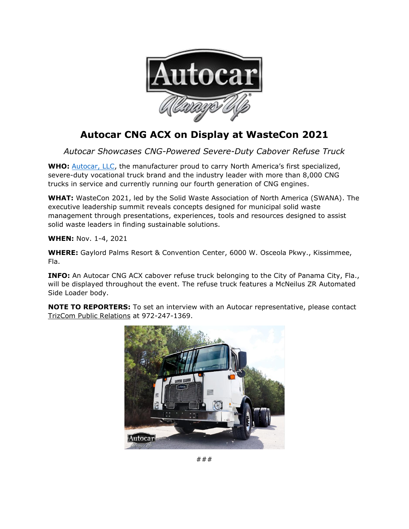

## **Autocar CNG ACX on Display at WasteCon 2021**

*Autocar Showcases CNG-Powered Severe-Duty Cabover Refuse Truck*

**WHO:** [Autocar, LLC,](https://www.autocartruck.com/acx/?utm_source=media+alert&utm_medium=email&utm_campaign=Autocar+CNG+ACX+on+Display+at+WasteCon+2021) the manufacturer proud to carry North America's first specialized, severe-duty vocational truck brand and the industry leader with more than 8,000 CNG trucks in service and currently running our fourth generation of CNG engines.

**WHAT:** WasteCon 2021, led by the Solid Waste Association of North America (SWANA). The executive leadership summit reveals concepts designed for municipal solid waste management through presentations, experiences, tools and resources designed to assist solid waste leaders in finding sustainable solutions.

**WHEN:** Nov. 1-4, 2021

**WHERE:** Gaylord Palms Resort & Convention Center, 6000 W. Osceola Pkwy., Kissimmee, Fla.

**INFO:** An Autocar CNG ACX cabover refuse truck belonging to the City of Panama City, Fla., will be displayed throughout the event. The refuse truck features a McNeilus ZR Automated Side Loader body.

**NOTE TO REPORTERS:** To set an interview with an Autocar representative, please contact [TrizCom Public Relations](https://www.trizcom.com/?utm_source=Media+Alert&utm_medium=FLEETCON+2021&utm_campaign=Autocar+to+Showcase+DC-64R+Refuse+Truck+at+FLEETCON+2021+This+Month&utm_id=Autocar%2C+LLC) at 972-247-1369.